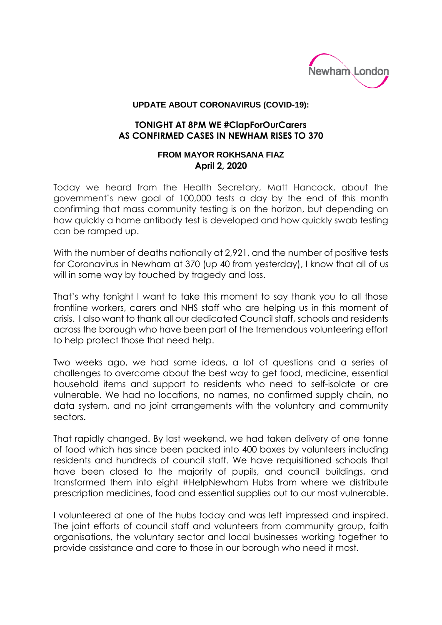

## **UPDATE ABOUT CORONAVIRUS (COVID-19):**

## **TONIGHT AT 8PM WE #ClapForOurCarers AS CONFIRMED CASES IN NEWHAM RISES TO 370**

## **FROM MAYOR ROKHSANA FIAZ April 2, 2020**

Today we heard from the Health Secretary, Matt Hancock, about the government's new goal of 100,000 tests a day by the end of this month confirming that mass community testing is on the horizon, but depending on how quickly a home antibody test is developed and how quickly swab testing can be ramped up.

With the number of deaths nationally at 2,921, and the number of positive tests for Coronavirus in Newham at 370 (up 40 from yesterday), I know that all of us will in some way by touched by tragedy and loss.

That's why tonight I want to take this moment to say thank you to all those frontline workers, carers and NHS staff who are helping us in this moment of crisis. I also want to thank all our dedicated Council staff, schools and residents across the borough who have been part of the tremendous volunteering effort to help protect those that need help.

Two weeks ago, we had some ideas, a lot of questions and a series of challenges to overcome about the best way to get food, medicine, essential household items and support to residents who need to self-isolate or are vulnerable. We had no locations, no names, no confirmed supply chain, no data system, and no joint arrangements with the voluntary and community sectors.

That rapidly changed. By last weekend, we had taken delivery of one tonne of food which has since been packed into 400 boxes by volunteers including residents and hundreds of council staff. We have requisitioned schools that have been closed to the majority of pupils, and council buildings, and transformed them into eight #HelpNewham Hubs from where we distribute prescription medicines, food and essential supplies out to our most vulnerable.

I volunteered at one of the hubs today and was left impressed and inspired. The joint efforts of council staff and volunteers from community group, faith organisations, the voluntary sector and local businesses working together to provide assistance and care to those in our borough who need it most.